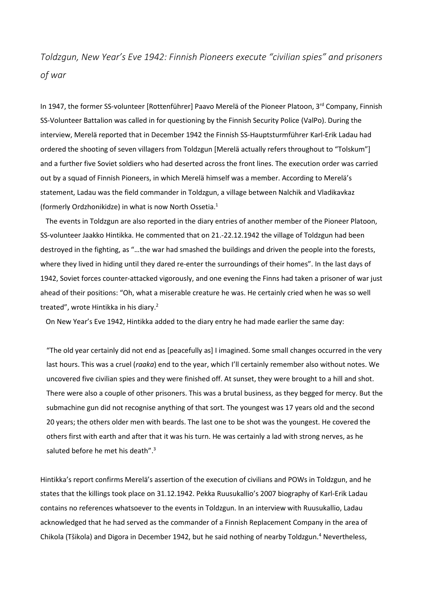## *Toldzgun, New Year's Eve 1942: Finnish Pioneers execute "civilian spies" and prisoners of war*

In 1947, the former SS-volunteer [Rottenführer] Paavo Merelä of the Pioneer Platoon, 3<sup>rd</sup> Company, Finnish SS-Volunteer Battalion was called in for questioning by the Finnish Security Police (ValPo). During the interview, Merelä reported that in December 1942 the Finnish SS-Hauptsturmführer Karl-Erik Ladau had ordered the shooting of seven villagers from Toldzgun [Merelä actually refers throughout to "Tolskum"] and a further five Soviet soldiers who had deserted across the front lines. The execution order was carried out by a squad of Finnish Pioneers, in which Merelä himself was a member. According to Merelä's statement, Ladau was the field commander in Toldzgun, a village between Nalchik and Vladikavkaz (formerly Ordzhonikidze) in what is now North Ossetia.<sup>1</sup>

 The events in Toldzgun are also reported in the diary entries of another member of the Pioneer Platoon, SS-volunteer Jaakko Hintikka. He commented that on 21.-22.12.1942 the village of Toldzgun had been destroyed in the fighting, as "…the war had smashed the buildings and driven the people into the forests, where they lived in hiding until they dared re-enter the surroundings of their homes". In the last days of 1942, Soviet forces counter-attacked vigorously, and one evening the Finns had taken a prisoner of war just ahead of their positions: "Oh, what a miserable creature he was. He certainly cried when he was so well treated", wrote Hintikka in his diary.<sup>2</sup>

On New Year's Eve 1942, Hintikka added to the diary entry he had made earlier the same day:

"The old year certainly did not end as [peacefully as] I imagined. Some small changes occurred in the very last hours. This was a cruel (*raaka*) end to the year, which I'll certainly remember also without notes. We uncovered five civilian spies and they were finished off. At sunset, they were brought to a hill and shot. There were also a couple of other prisoners. This was a brutal business, as they begged for mercy. But the submachine gun did not recognise anything of that sort. The youngest was 17 years old and the second 20 years; the others older men with beards. The last one to be shot was the youngest. He covered the others first with earth and after that it was his turn. He was certainly a lad with strong nerves, as he saluted before he met his death".<sup>3</sup>

Hintikka's report confirms Merelä's assertion of the execution of civilians and POWs in Toldzgun, and he states that the killings took place on 31.12.1942. Pekka Ruusukallio's 2007 biography of Karl-Erik Ladau contains no references whatsoever to the events in Toldzgun. In an interview with Ruusukallio, Ladau acknowledged that he had served as the commander of a Finnish Replacement Company in the area of Chikola (Tšikola) and Digora in December 1942, but he said nothing of nearby Toldzgun.<sup>4</sup> Nevertheless,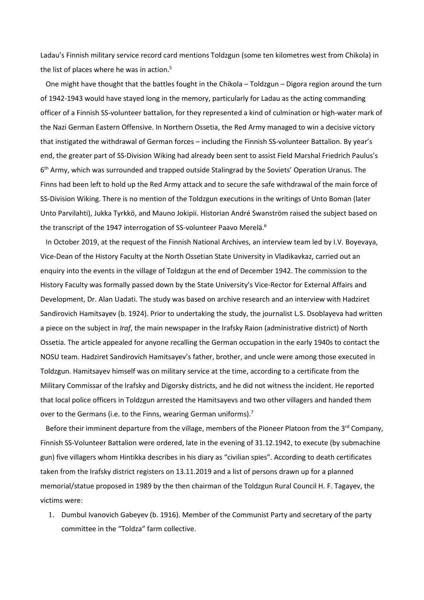Ladau's Finnish military service record card mentions Toldzgun (some ten kilometres west from Chikola) in the list of places where he was in action.<sup>5</sup>

 One might have thought that the battles fought in the Chikola – Toldzgun – Digora region around the turn of 1942-1943 would have stayed long in the memory, particularly for Ladau as the acting commanding officer of a Finnish SS-volunteer battalion, for they represented a kind of culmination or high-water mark of the Nazi German Eastern Offensive. In Northern Ossetia, the Red Army managed to win a decisive victory that instigated the withdrawal of German forces – including the Finnish SS-volunteer Battalion. By year's end, the greater part of SS-Division Wiking had already been sent to assist Field Marshal Friedrich Paulus's 6<sup>th</sup> Army, which was surrounded and trapped outside Stalingrad by the Soviets' Operation Uranus. The Finns had been left to hold up the Red Army attack and to secure the safe withdrawal of the main force of SS-Division Wiking. There is no mention of the Toldzgun executions in the writings of Unto Boman (later Unto Parvilahti), Jukka Tyrkkö, and Mauno Jokipii. Historian André Swanström raised the subject based on the transcript of the 1947 interrogation of SS-volunteer Paavo Merelä.<sup>6</sup>

 In October 2019, at the request of the Finnish National Archives, an interview team led by I.V. Boyevaya, Vice-Dean of the History Faculty at the North Ossetian State University in Vladikavkaz, carried out an enquiry into the events in the village of Toldzgun at the end of December 1942. The commission to the History Faculty was formally passed down by the State University's Vice-Rector for External Affairs and Development, Dr. Alan Uadati. The study was based on archive research and an interview with Hadziret Sandirovich Hamitsayev (b. 1924). Prior to undertaking the study, the journalist L.S. Dsoblayeva had written a piece on the subject in *Iraf*, the main newspaper in the Irafsky Raion (administrative district) of North Ossetia. The article appealed for anyone recalling the German occupation in the early 1940s to contact the NOSU team. Hadziret Sandirovich Hamitsayev's father, brother, and uncle were among those executed in Toldzgun. Hamitsayev himself was on military service at the time, according to a certificate from the Military Commissar of the Irafsky and Digorsky districts, and he did not witness the incident. He reported that local police officers in Toldzgun arrested the Hamitsayevs and two other villagers and handed them over to the Germans (i.e. to the Finns, wearing German uniforms).<sup>7</sup>

Before their imminent departure from the village, members of the Pioneer Platoon from the 3<sup>rd</sup> Company, Finnish SS-Volunteer Battalion were ordered, late in the evening of 31.12.1942, to execute (by submachine gun) five villagers whom Hintikka describes in his diary as "civilian spies". According to death certificates taken from the Irafsky district registers on 13.11.2019 and a list of persons drawn up for a planned memorial/statue proposed in 1989 by the then chairman of the Toldzgun Rural Council H. F. Tagayev, the victims were:

1. Dumbul Ivanovich Gabeyev (b. 1916). Member of the Communist Party and secretary of the party committee in the "Toldza" farm collective.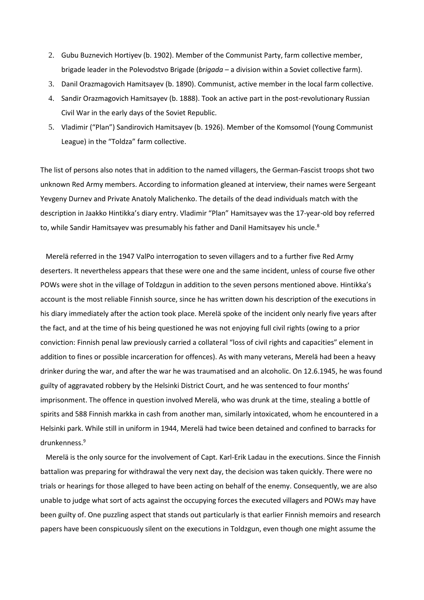- 2. Gubu Buznevich Hortiyev (b. 1902). Member of the Communist Party, farm collective member, brigade leader in the Polevodstvo Brigade (*brigada* – a division within a Soviet collective farm).
- 3. Danil Orazmagovich Hamitsayev (b. 1890). Communist, active member in the local farm collective.
- 4. Sandir Orazmagovich Hamitsayev (b. 1888). Took an active part in the post-revolutionary Russian Civil War in the early days of the Soviet Republic.
- 5. Vladimir ("Plan") Sandirovich Hamitsayev (b. 1926). Member of the Komsomol (Young Communist League) in the "Toldza" farm collective.

The list of persons also notes that in addition to the named villagers, the German-Fascist troops shot two unknown Red Army members. According to information gleaned at interview, their names were Sergeant Yevgeny Durnev and Private Anatoly Malichenko. The details of the dead individuals match with the description in Jaakko Hintikka's diary entry. Vladimir "Plan" Hamitsayev was the 17-year-old boy referred to, while Sandir Hamitsayev was presumably his father and Danil Hamitsayev his uncle. $8$ 

 Merelä referred in the 1947 ValPo interrogation to seven villagers and to a further five Red Army deserters. It nevertheless appears that these were one and the same incident, unless of course five other POWs were shot in the village of Toldzgun in addition to the seven persons mentioned above. Hintikka's account is the most reliable Finnish source, since he has written down his description of the executions in his diary immediately after the action took place. Merelä spoke of the incident only nearly five years after the fact, and at the time of his being questioned he was not enjoying full civil rights (owing to a prior conviction: Finnish penal law previously carried a collateral "loss of civil rights and capacities" element in addition to fines or possible incarceration for offences). As with many veterans, Merelä had been a heavy drinker during the war, and after the war he was traumatised and an alcoholic. On 12.6.1945, he was found guilty of aggravated robbery by the Helsinki District Court, and he was sentenced to four months' imprisonment. The offence in question involved Merelä, who was drunk at the time, stealing a bottle of spirits and 588 Finnish markka in cash from another man, similarly intoxicated, whom he encountered in a Helsinki park. While still in uniform in 1944, Merelä had twice been detained and confined to barracks for drunkenness.<sup>9</sup>

 Merelä is the only source for the involvement of Capt. Karl-Erik Ladau in the executions. Since the Finnish battalion was preparing for withdrawal the very next day, the decision was taken quickly. There were no trials or hearings for those alleged to have been acting on behalf of the enemy. Consequently, we are also unable to judge what sort of acts against the occupying forces the executed villagers and POWs may have been guilty of. One puzzling aspect that stands out particularly is that earlier Finnish memoirs and research papers have been conspicuously silent on the executions in Toldzgun, even though one might assume the